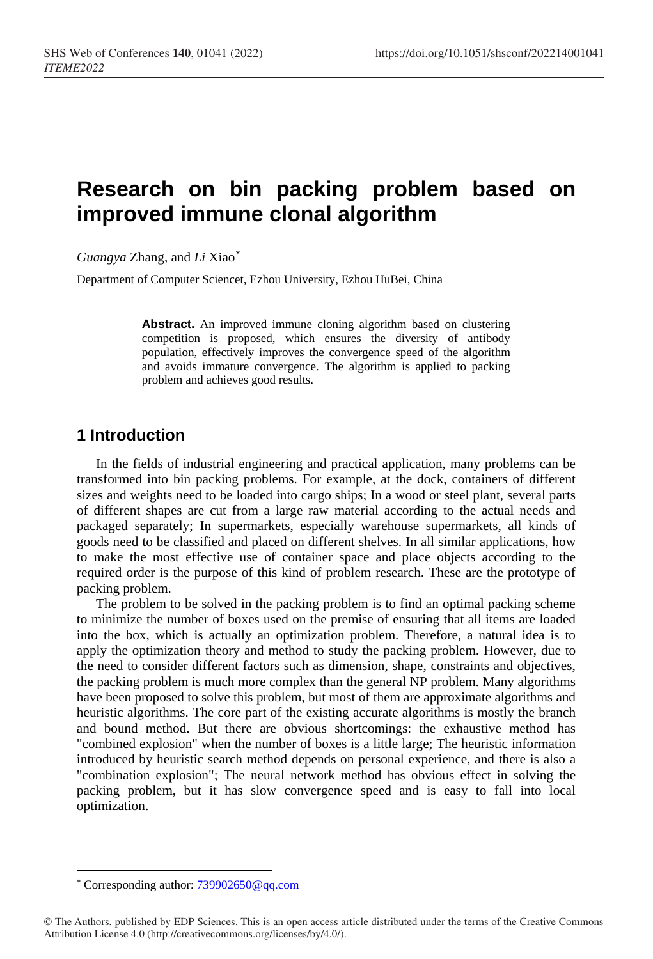# **Research on bin packing problem based on improved immune clonal algorithm**

*Guangya* Zhang, and *Li* Xiao[\\*](#page-0-0)

Department of Computer Sciencet, Ezhou University, Ezhou HuBei, China

**Abstract.** An improved immune cloning algorithm based on clustering competition is proposed, which ensures the diversity of antibody population, effectively improves the convergence speed of the algorithm and avoids immature convergence. The algorithm is applied to packing problem and achieves good results.

# **1 Introduction**

In the fields of industrial engineering and practical application, many problems can be transformed into bin packing problems. For example, at the dock, containers of different sizes and weights need to be loaded into cargo ships; In a wood or steel plant, several parts of different shapes are cut from a large raw material according to the actual needs and packaged separately; In supermarkets, especially warehouse supermarkets, all kinds of goods need to be classified and placed on different shelves. In all similar applications, how to make the most effective use of container space and place objects according to the required order is the purpose of this kind of problem research. These are the prototype of packing problem.

The problem to be solved in the packing problem is to find an optimal packing scheme to minimize the number of boxes used on the premise of ensuring that all items are loaded into the box, which is actually an optimization problem. Therefore, a natural idea is to apply the optimization theory and method to study the packing problem. However, due to the need to consider different factors such as dimension, shape, constraints and objectives, the packing problem is much more complex than the general NP problem. Many algorithms have been proposed to solve this problem, but most of them are approximate algorithms and heuristic algorithms. The core part of the existing accurate algorithms is mostly the branch and bound method. But there are obvious shortcomings: the exhaustive method has "combined explosion" when the number of boxes is a little large; The heuristic information introduced by heuristic search method depends on personal experience, and there is also a "combination explosion"; The neural network method has obvious effect in solving the packing problem, but it has slow convergence speed and is easy to fall into local optimization.

 $\overline{a}$ \* Corresponding author: [739902650@qq.com](mailto:739902650@qq.com)

<span id="page-0-0"></span><sup>©</sup> The Authors, published by EDP Sciences. This is an open access article distributed under the terms of the Creative Commons Attribution License 4.0 (http://creativecommons.org/licenses/by/4.0/).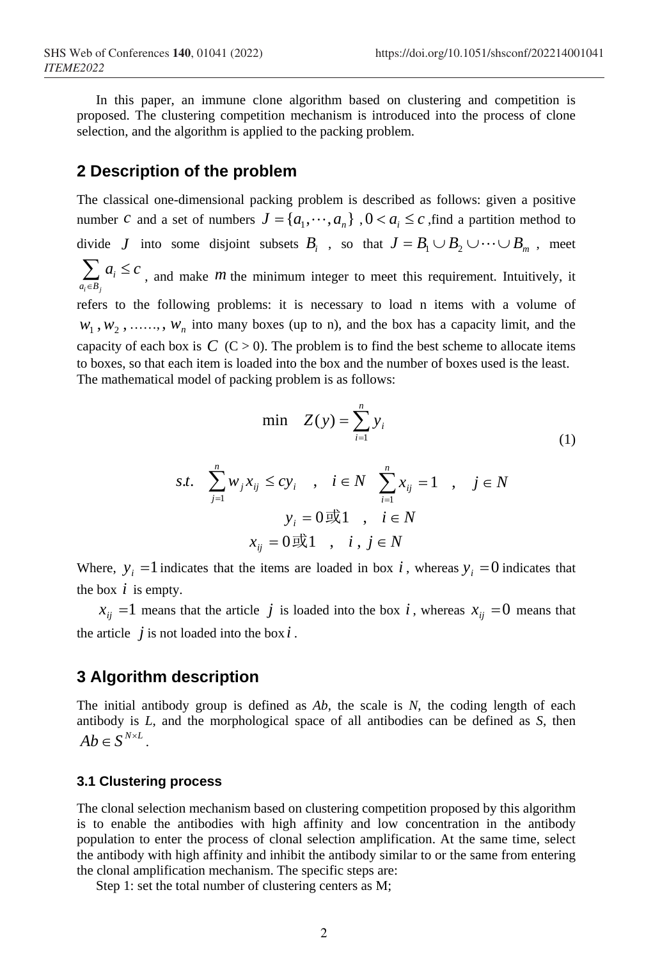In this paper, an immune clone algorithm based on clustering and competition is proposed. The clustering competition mechanism is introduced into the process of clone selection, and the algorithm is applied to the packing problem.

### **2 Description of the problem**

The classical one-dimensional packing problem is described as follows: given a positive number *c* and a set of numbers  $J = \{a_1, \dots, a_n\}$ ,  $0 < a_i \leq c$ , find a partition method to divide *J* into some disjoint subsets  $B_i$ , so that  $J = B_1 \cup B_2 \cup \cdots \cup B_m$ , meet  *⊂*  $\nu$  $*j*$ *i*  $a_i \in B$  $a_i \leq c$  $\sum_{k_i \in B_i} a_i \leq c$ , and make *m* the minimum integer to meet this requirement. Intuitively, it refers to the following problems: it is necessary to load n items with a volume of  $w_1, w_2, \ldots, w_n$  into many boxes (up to n), and the box has a capacity limit, and the capacity of each box is  $C$  ( $C > 0$ ). The problem is to find the best scheme to allocate items to boxes, so that each item is loaded into the box and the number of boxes used is the least. The mathematical model of packing problem is as follows:

$$
\min \quad Z(y) = \sum_{i=1}^{n} y_i \tag{1}
$$

$$
s.t. \quad \sum_{j=1}^{n} w_j x_{ij} \leq c y_i \quad , \quad i \in N \quad \sum_{i=1}^{n} x_{ij} = 1 \quad , \quad j \in N
$$

$$
y_i = 0 \quad \text{and} \quad i \in N
$$

$$
x_{ij} = 0 \quad \text{and} \quad i, j \in N
$$

Where,  $y_i = 1$  indicates that the items are loaded in box *i*, whereas  $y_i = 0$  indicates that the box  $i$  is empty.

 $x_{ij}$  =1 means that the article *j* is loaded into the box *i*, whereas  $x_{ij}$  =0 means that the article  $\dot{j}$  is not loaded into the box  $\dot{i}$ .

## **3 Algorithm description**

The initial antibody group is defined as *Ab*, the scale is *N*, the coding length of each antibody is *L*, and the morphological space of all antibodies can be defined as *S*, then  $Ab \in S^{N \times L}$ .

#### **3.1 Clustering process**

The clonal selection mechanism based on clustering competition proposed by this algorithm is to enable the antibodies with high affinity and low concentration in the antibody population to enter the process of clonal selection amplification. At the same time, select the antibody with high affinity and inhibit the antibody similar to or the same from entering the clonal amplification mechanism. The specific steps are:

Step 1: set the total number of clustering centers as M;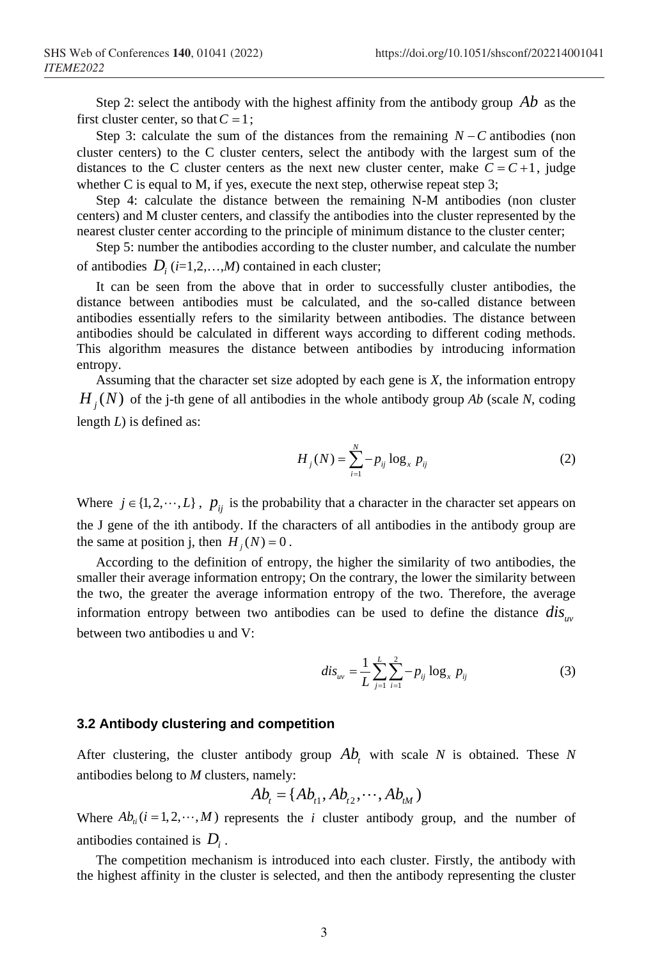Step 2: select the antibody with the highest affinity from the antibody group *Ab* as the first cluster center, so that  $C = 1$ ;

Step 3: calculate the sum of the distances from the remaining *N*−*C* antibodies (non cluster centers) to the C cluster centers, select the antibody with the largest sum of the distances to the C cluster centers as the next new cluster center, make  $C = C +1$ , judge whether C is equal to M, if yes, execute the next step, otherwise repeat step 3;

Step 4: calculate the distance between the remaining N-M antibodies (non cluster centers) and M cluster centers, and classify the antibodies into the cluster represented by the nearest cluster center according to the principle of minimum distance to the cluster center;

Step 5: number the antibodies according to the cluster number, and calculate the number of antibodies  $D_i$  ( $i=1,2,...,M$ ) contained in each cluster;

It can be seen from the above that in order to successfully cluster antibodies, the distance between antibodies must be calculated, and the so-called distance between antibodies essentially refers to the similarity between antibodies. The distance between antibodies should be calculated in different ways according to different coding methods. This algorithm measures the distance between antibodies by introducing information entropy.

Assuming that the character set size adopted by each gene is *X*, the information entropy  $H<sub>i</sub>(N)$  of the j-th gene of all antibodies in the whole antibody group *Ab* (scale *N*, coding length *L*) is defined as:

$$
H_j(N) = \sum_{i=1}^{N} -p_{ij} \log_x p_{ij}
$$
 (2)

Where  $j \in \{1, 2, \dots, L\}$ ,  $p_{ij}$  is the probability that a character in the character set appears on the J gene of the ith antibody. If the characters of all antibodies in the antibody group are the same at position j, then  $H_i(N) = 0$ .

According to the definition of entropy, the higher the similarity of two antibodies, the smaller their average information entropy; On the contrary, the lower the similarity between the two, the greater the average information entropy of the two. Therefore, the average information entropy between two antibodies can be used to define the distance  $dis_{\mu\nu}$ between two antibodies u and V:

$$
dis_{uv} = \frac{1}{L} \sum_{j=1}^{L} \sum_{i=1}^{2} -p_{ij} \log_x p_{ij}
$$
 (3)

#### **3.2 Antibody clustering and competition**

After clustering, the cluster antibody group  $Ab$ , with scale *N* is obtained. These *N* antibodies belong to *M* clusters, namely:

$$
Ab_{t} = \{Ab_{t1}, Ab_{t2}, \cdots, Ab_{tM}\}
$$

Where  $Ab<sub>i</sub>(i = 1, 2, \dots, M)$  represents the *i* cluster antibody group, and the number of antibodies contained is *Di* .

The competition mechanism is introduced into each cluster. Firstly, the antibody with the highest affinity in the cluster is selected, and then the antibody representing the cluster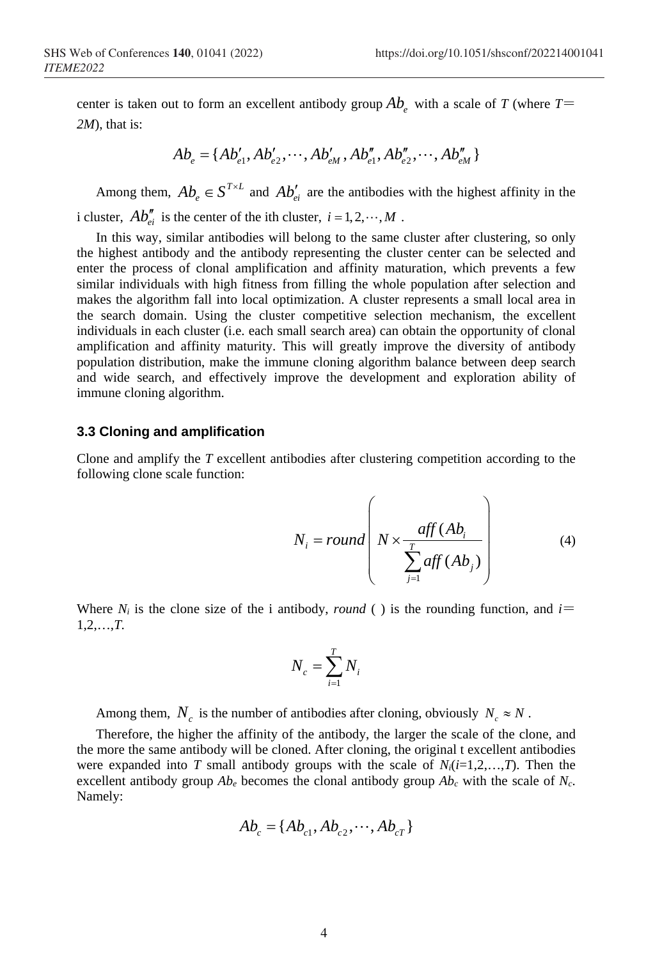center is taken out to form an excellent antibody group  $Ab<sub>e</sub>$  with a scale of *T* (where *T*= *2M*), that is:

$$
Ab_e = \{ Ab'_{e1}, Ab'_{e2}, \cdots, Ab'_{eM}, Ab''_{e1}, Ab''_{e2}, \cdots, Ab''_{eM} \}
$$

Among them,  $Ab_e \in S^{T \times L}$  and  $Ab'_{ei}$  are the antibodies with the highest affinity in the i cluster,  $Ab''_{i}$  is the center of the ith cluster,  $i = 1, 2, \dots, M$ .

In this way, similar antibodies will belong to the same cluster after clustering, so only the highest antibody and the antibody representing the cluster center can be selected and enter the process of clonal amplification and affinity maturation, which prevents a few similar individuals with high fitness from filling the whole population after selection and makes the algorithm fall into local optimization. A cluster represents a small local area in the search domain. Using the cluster competitive selection mechanism, the excellent individuals in each cluster (i.e. each small search area) can obtain the opportunity of clonal amplification and affinity maturity. This will greatly improve the diversity of antibody population distribution, make the immune cloning algorithm balance between deep search and wide search, and effectively improve the development and exploration ability of immune cloning algorithm.

#### **3.3 Cloning and amplification**

Clone and amplify the *T* excellent antibodies after clustering competition according to the following clone scale function:

$$
N_i = round \left( N \times \frac{aff (Ab_i)}{\sum_{j=1}^{T} aff (Ab_j)} \right)
$$
 (4)

Where  $N_i$  is the clone size of the i antibody, *round* () is the rounding function, and  $i=$ 1,2,…,*T.*

$$
N_c = \sum_{i=1}^{T} N_i
$$

Among them,  $N_c$  is the number of antibodies after cloning, obviously  $N_c \approx N$ .

Therefore, the higher the affinity of the antibody, the larger the scale of the clone, and the more the same antibody will be cloned. After cloning, the original t excellent antibodies were expanded into *T* small antibody groups with the scale of  $N_i(i=1,2,...,T)$ . Then the excellent antibody group  $Ab_e$  becomes the clonal antibody group  $Ab_c$  with the scale of  $N_c$ . Namely:

$$
Ab_c = \{Ab_{c1}, Ab_{c2}, \cdots, Ab_{cT}\}\
$$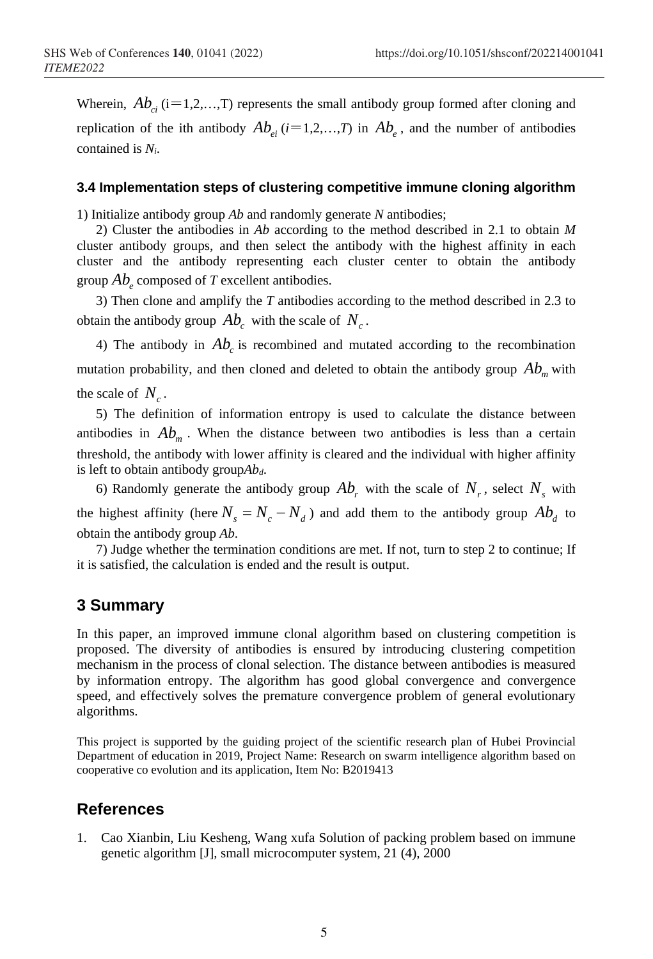Wherein,  $Ab_{ci}$  (i=1,2,...,T) represents the small antibody group formed after cloning and replication of the ith antibody  $Ab_{e_i}$  ( $i=1,2,...,T$ ) in  $Ab_{e_i}$ , and the number of antibodies contained is *Ni*.

#### **3.4 Implementation steps of clustering competitive immune cloning algorithm**

1) Initialize antibody group *Ab* and randomly generate *N* antibodies;

2) Cluster the antibodies in *Ab* according to the method described in 2.1 to obtain *M* cluster antibody groups, and then select the antibody with the highest affinity in each cluster and the antibody representing each cluster center to obtain the antibody group  $Ab$ <sub>e</sub> composed of *T* excellent antibodies.

3) Then clone and amplify the *T* antibodies according to the method described in 2.3 to obtain the antibody group  $Ab<sub>c</sub>$  with the scale of  $N<sub>c</sub>$ .

4) The antibody in  $Ab<sub>c</sub>$  is recombined and mutated according to the recombination mutation probability, and then cloned and deleted to obtain the antibody group  $Ab<sub>m</sub>$  with the scale of  $N_c$ .

5) The definition of information entropy is used to calculate the distance between antibodies in  $Ab<sub>m</sub>$ . When the distance between two antibodies is less than a certain threshold, the antibody with lower affinity is cleared and the individual with higher affinity is left to obtain antibody group $Ab<sub>d</sub>$ .

6) Randomly generate the antibody group  $Ab<sub>r</sub>$  with the scale of  $N<sub>r</sub>$ , select  $N<sub>s</sub>$  with the highest affinity (here  $N_s = N_c - N_d$ ) and add them to the antibody group  $Ab_d$  to obtain the antibody group *Ab*.

7) Judge whether the termination conditions are met. If not, turn to step 2 to continue; If it is satisfied, the calculation is ended and the result is output.

## **3 Summary**

In this paper, an improved immune clonal algorithm based on clustering competition is proposed. The diversity of antibodies is ensured by introducing clustering competition mechanism in the process of clonal selection. The distance between antibodies is measured by information entropy. The algorithm has good global convergence and convergence speed, and effectively solves the premature convergence problem of general evolutionary algorithms.

This project is supported by the guiding project of the scientific research plan of Hubei Provincial Department of education in 2019, Project Name: Research on swarm intelligence algorithm based on cooperative co evolution and its application, Item No: B2019413

# **References**

1. Cao Xianbin, Liu Kesheng, Wang xufa Solution of packing problem based on immune genetic algorithm [J], small microcomputer system, 21 (4), 2000